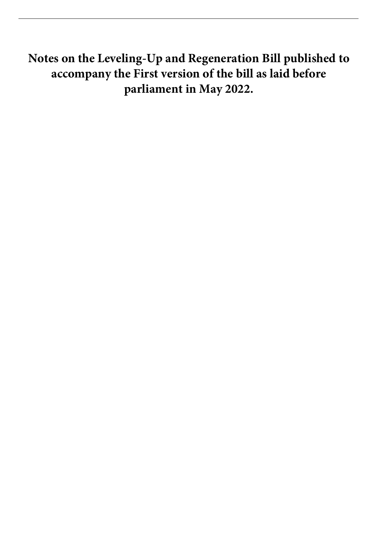**Notes on the Leveling-Up and Regeneration Bill published to accompany the First version of the bill as laid before parliament in May 2022.**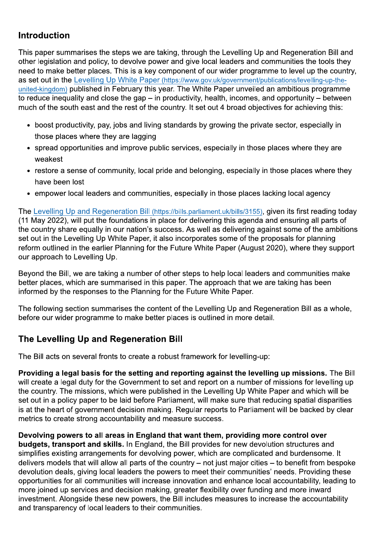## **Introduction**

This paper summarises the steps we are taking, through the Levelling Up and Regeneration Bill and other legislation and policy, to devolve power and give local leaders and communities the tools they need to make better places. This is a key component of our wider programme to level up the country, as set out in the Levelling Up White Paper (https://www.gov.uk/government/publications/levelling-up-theunited-kingdom) published in February this year. The White Paper unveiled an ambitious programme to reduce inequality and close the gap  $-$  in productivity, health, incomes, and opportunity  $-$  between much of the south east and the rest of the country. It set out 4 broad objectives for achieving this:

- boost productivity, pay, jobs and living standards by growing the private sector, especially in those places where they are lagging
- spread opportunities and improve public services, especially in those places where they are weakest
- restore a sense of community, local pride and belonging, especially in those places where they have been lost
- empower local leaders and communities, especially in those places lacking local agency

The Levelling Up and Regeneration Bill (https://bills.parliament.uk/bills/3155), given its first reading today (11 May 2022), will put the foundations in place for delivering this agenda and ensuring all parts of the country share equally in our nation's success. As well as delivering against some of the ambitions set out in the Levelling Up White Paper, it also incorporates some of the proposals for planning reform outlined in the earlier Planning for the Future White Paper (August 2020), where they support our approach to Levelling Up.

Beyond the Bill, we are taking a number of other steps to help local leaders and communities make better places, which are summarised in this paper. The approach that we are taking has been informed by the responses to the Planning for the Future White Paper.

The following section summarises the content of the Levelling Up and Regeneration Bill as a whole. before our wider programme to make better places is outlined in more detail.

## The Levelling Up and Regeneration Bill

The Bill acts on several fronts to create a robust framework for levelling-up:

Providing a legal basis for the setting and reporting against the levelling up missions. The Bill will create a legal duty for the Government to set and report on a number of missions for levelling up the country. The missions, which were published in the Levelling Up White Paper and which will be set out in a policy paper to be laid before Parliament, will make sure that reducing spatial disparities is at the heart of government decision making. Regular reports to Parliament will be backed by clear metrics to create strong accountability and measure success.

Devolving powers to all areas in England that want them, providing more control over budgets, transport and skills. In England, the Bill provides for new devolution structures and simplifies existing arrangements for devolving power, which are complicated and burdensome. It delivers models that will allow all parts of the country – not just major cities – to benefit from bespoke devolution deals, giving local leaders the powers to meet their communities' needs. Providing these opportunities for all communities will increase innovation and enhance local accountability, leading to more joined up services and decision making, greater flexibility over funding and more inward investment. Alongside these new powers, the Bill includes measures to increase the accountability and transparency of local leaders to their communities.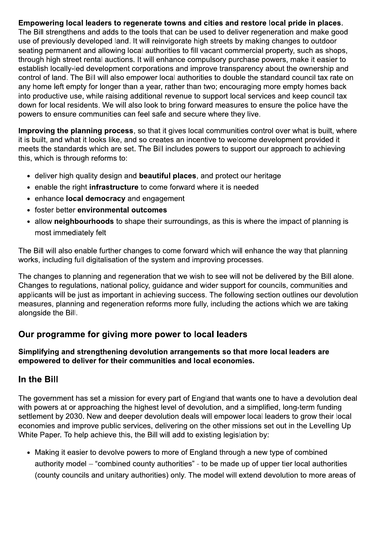Empowering local leaders to regenerate towns and cities and restore local pride in places. The Bill strengthens and adds to the tools that can be used to deliver regeneration and make good use of previously developed land. It will reinvigorate high streets by making changes to outdoor seating permanent and allowing local authorities to fill vacant commercial property, such as shops, through high street rental auctions. It will enhance compulsory purchase powers, make it easier to establish locally-led development corporations and improve transparency about the ownership and control of land. The Bill will also empower local authorities to double the standard council tax rate on any home left empty for longer than a year, rather than two; encouraging more empty homes back into productive use, while raising additional revenue to support local services and keep council tax down for local residents. We will also look to bring forward measures to ensure the police have the powers to ensure communities can feel safe and secure where they live.

Improving the planning process, so that it gives local communities control over what is built, where it is built, and what it looks like, and so creates an incentive to welcome development provided it meets the standards which are set. The Bill includes powers to support our approach to achieving this, which is through reforms to:

- deliver high quality design and **beautiful places**, and protect our heritage
- enable the right infrastructure to come forward where it is needed
- enhance local democracy and engagement
- foster better environmental outcomes
- allow neighbourhoods to shape their surroundings, as this is where the impact of planning is most immediately felt

The Bill will also enable further changes to come forward which will enhance the way that planning works, including full digitalisation of the system and improving processes.

The changes to planning and regeneration that we wish to see will not be delivered by the Bill alone. Changes to regulations, national policy, guidance and wider support for councils, communities and applicants will be just as important in achieving success. The following section outlines our devolution measures, planning and regeneration reforms more fully, including the actions which we are taking alongside the Bill.

#### Our programme for giving more power to local leaders

#### Simplifying and strengthening devolution arrangements so that more local leaders are empowered to deliver for their communities and local economies.

#### In the Bill

The government has set a mission for every part of England that wants one to have a devolution deal with powers at or approaching the highest level of devolution, and a simplified, long-term funding settlement by 2030. New and deeper devolution deals will empower local leaders to grow their local economies and improve public services, delivering on the other missions set out in the Levelling Up White Paper. To help achieve this, the Bill will add to existing legislation by:

• Making it easier to devolve powers to more of England through a new type of combined authority model – "combined county authorities" - to be made up of upper tier local authorities (county councils and unitary authorities) only. The model will extend devolution to more areas of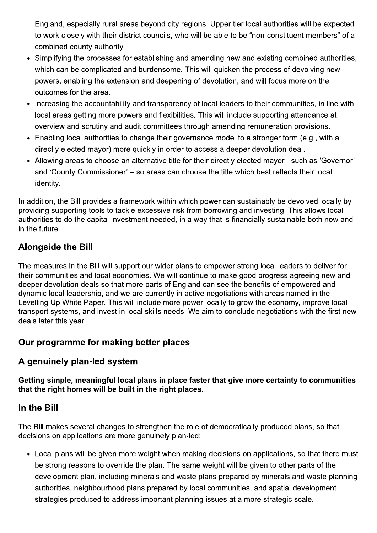England, especially rural areas beyond city regions. Upper tier local authorities will be expected to work closely with their district councils, who will be able to be "non-constituent members" of a combined county authority.

- Simplifying the processes for establishing and amending new and existing combined authorities, which can be complicated and burdensome. This will quicken the process of devolving new powers, enabling the extension and deepening of devolution, and will focus more on the outcomes for the area.
- Increasing the accountability and transparency of local leaders to their communities, in line with local areas getting more powers and flexibilities. This will include supporting attendance at overview and scrutiny and audit committees through amending remuneration provisions.
- Enabling local authorities to change their governance model to a stronger form (e.g., with a directly elected mayor) more quickly in order to access a deeper devolution deal.
- Allowing areas to choose an alternative title for their directly elected mayor such as 'Governor' and 'County Commissioner' - so areas can choose the title which best reflects their local identity.

In addition, the Bill provides a framework within which power can sustainably be devolved locally by providing supporting tools to tackle excessive risk from borrowing and investing. This allows local authorities to do the capital investment needed, in a way that is financially sustainable both now and in the future.

# **Alongside the Bill**

The measures in the Bill will support our wider plans to empower strong local leaders to deliver for their communities and local economies. We will continue to make good progress agreeing new and deeper devolution deals so that more parts of England can see the benefits of empowered and dynamic local leadership, and we are currently in active negotiations with areas named in the Levelling Up White Paper. This will include more power locally to grow the economy, improve local transport systems, and invest in local skills needs. We aim to conclude negotiations with the first new deals later this year.

## Our programme for making better places

#### A genuinely plan-led system

Getting simple, meaningful local plans in place faster that give more certainty to communities that the right homes will be built in the right places.

#### In the Bill

The Bill makes several changes to strengthen the role of democratically produced plans, so that decisions on applications are more genuinely plan-led:

• Local plans will be given more weight when making decisions on applications, so that there must be strong reasons to override the plan. The same weight will be given to other parts of the development plan, including minerals and waste plans prepared by minerals and waste planning authorities, neighbourhood plans prepared by local communities, and spatial development strategies produced to address important planning issues at a more strategic scale.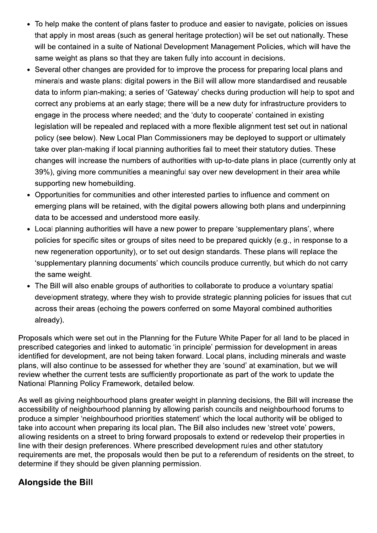- To help make the content of plans faster to produce and easier to navigate, policies on issues that apply in most areas (such as general heritage protection) will be set out nationally. These will be contained in a suite of National Development Management Policies, which will have the same weight as plans so that they are taken fully into account in decisions.
- Several other changes are provided for to improve the process for preparing local plans and minerals and waste plans: digital powers in the Bill will allow more standardised and reusable data to inform plan-making; a series of 'Gateway' checks during production will help to spot and correct any problems at an early stage; there will be a new duty for infrastructure providers to engage in the process where needed: and the 'duty to cooperate' contained in existing legislation will be repealed and replaced with a more flexible alignment test set out in national policy (see below). New Local Plan Commissioners may be deployed to support or ultimately take over plan-making if local planning authorities fail to meet their statutory duties. These changes will increase the numbers of authorities with up-to-date plans in place (currently only at 39%), giving more communities a meaningful say over new development in their area while supporting new homebuilding.
- Opportunities for communities and other interested parties to influence and comment on emerging plans will be retained, with the digital powers allowing both plans and underpinning data to be accessed and understood more easily.
- Local planning authorities will have a new power to prepare 'supplementary plans', where policies for specific sites or groups of sites need to be prepared quickly (e.g., in response to a new regeneration opportunity), or to set out design standards. These plans will replace the 'supplementary planning documents' which councils produce currently, but which do not carry the same weight.
- The Bill will also enable groups of authorities to collaborate to produce a voluntary spatial development strategy, where they wish to provide strategic planning policies for issues that cut across their areas (echoing the powers conferred on some Mayoral combined authorities already).

Proposals which were set out in the Planning for the Future White Paper for all land to be placed in prescribed categories and linked to automatic 'in principle' permission for development in areas identified for development, are not being taken forward. Local plans, including minerals and waste plans, will also continue to be assessed for whether they are 'sound' at examination, but we will review whether the current tests are sufficiently proportionate as part of the work to update the National Planning Policy Framework, detailed below.

As well as giving neighbourhood plans greater weight in planning decisions, the Bill will increase the accessibility of neighbourhood planning by allowing parish councils and neighbourhood forums to produce a simpler 'neighbourhood priorities statement' which the local authority will be obliged to take into account when preparing its local plan. The Bill also includes new 'street vote' powers. allowing residents on a street to bring forward proposals to extend or redevelop their properties in line with their design preferences. Where prescribed development rules and other statutory requirements are met, the proposals would then be put to a referendum of residents on the street, to determine if they should be given planning permission.

#### **Alongside the Bill**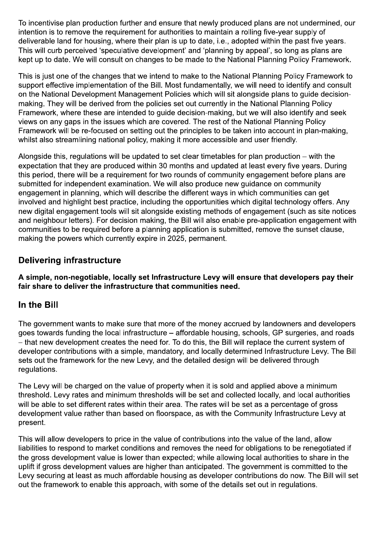To incentivise plan production further and ensure that newly produced plans are not undermined, our intention is to remove the requirement for authorities to maintain a rolling five-year supply of deliverable land for housing, where their plan is up to date, i.e., adopted within the past five years. This will curb perceived 'speculative development' and 'planning by appeal', so long as plans are kept up to date. We will consult on changes to be made to the National Planning Policy Framework.

This is just one of the changes that we intend to make to the National Planning Policy Framework to support effective implementation of the Bill. Most fundamentally, we will need to identify and consult on the National Development Management Policies which will sit alongside plans to quide decisionmaking. They will be derived from the policies set out currently in the National Planning Policy Framework, where these are intended to guide decision-making, but we will also identify and seek views on any gaps in the issues which are covered. The rest of the National Planning Policy Framework will be re-focused on setting out the principles to be taken into account in plan-making. whilst also streamlining national policy, making it more accessible and user friendly.

Alongside this, regulations will be updated to set clear timetables for plan production – with the expectation that they are produced within 30 months and updated at least every five years. During this period, there will be a requirement for two rounds of community engagement before plans are submitted for independent examination. We will also produce new quidance on community engagement in planning, which will describe the different ways in which communities can get involved and highlight best practice, including the opportunities which digital technology offers. Any new digital engagement tools will sit alongside existing methods of engagement (such as site notices and neighbour letters). For decision making, the Bill will also enable pre-application engagement with communities to be required before a planning application is submitted, remove the sunset clause, making the powers which currently expire in 2025, permanent.

## **Delivering infrastructure**

A simple, non-negotiable, locally set Infrastructure Levy will ensure that developers pay their fair share to deliver the infrastructure that communities need.

#### In the Bill

The government wants to make sure that more of the money accrued by landowners and developers goes towards funding the local infrastructure – affordable housing, schools, GP surgeries, and roads - that new development creates the need for. To do this, the Bill will replace the current system of developer contributions with a simple, mandatory, and locally determined Infrastructure Levy. The Bill sets out the framework for the new Levy, and the detailed design will be delivered through regulations.

The Levy will be charged on the value of property when it is sold and applied above a minimum threshold. Levy rates and minimum thresholds will be set and collected locally, and local authorities will be able to set different rates within their area. The rates will be set as a percentage of gross development value rather than based on floorspace, as with the Community Infrastructure Levy at present.

This will allow developers to price in the value of contributions into the value of the land, allow liabilities to respond to market conditions and removes the need for obligations to be renegotiated if the gross development value is lower than expected; while allowing local authorities to share in the uplift if gross development values are higher than anticipated. The government is committed to the Levy securing at least as much affordable housing as developer contributions do now. The Bill will set out the framework to enable this approach, with some of the details set out in regulations.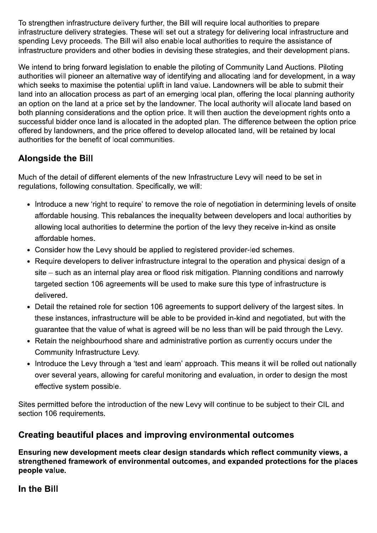To strengthen infrastructure delivery further, the Bill will require local authorities to prepare infrastructure delivery strategies. These will set out a strategy for delivering local infrastructure and spending Levy proceeds. The Bill will also enable local authorities to require the assistance of infrastructure providers and other bodies in devising these strategies, and their development plans.

We intend to bring forward legislation to enable the piloting of Community Land Auctions. Piloting authorities will pioneer an alternative way of identifying and allocating land for development, in a way which seeks to maximise the potential uplift in land value. Landowners will be able to submit their land into an allocation process as part of an emerging local plan, offering the local planning authority an option on the land at a price set by the landowner. The local authority will allocate land based on both planning considerations and the option price. It will then auction the development rights onto a successful bidder once land is allocated in the adopted plan. The difference between the option price offered by landowners, and the price offered to develop allocated land, will be retained by local authorities for the benefit of local communities.

# **Alongside the Bill**

Much of the detail of different elements of the new Infrastructure Levy will need to be set in regulations, following consultation. Specifically, we will:

- Introduce a new 'right to require' to remove the role of negotiation in determining levels of onsite affordable housing. This rebalances the inequality between developers and local authorities by allowing local authorities to determine the portion of the levy they receive in-kind as onsite affordable homes.
- Consider how the Levy should be applied to registered provider-led schemes.
- Require developers to deliver infrastructure integral to the operation and physical design of a site – such as an internal play area or flood risk mitigation. Planning conditions and narrowly targeted section 106 agreements will be used to make sure this type of infrastructure is delivered.
- Detail the retained role for section 106 agreements to support delivery of the largest sites. In these instances, infrastructure will be able to be provided in-kind and negotiated, but with the guarantee that the value of what is agreed will be no less than will be paid through the Levy.
- Retain the neighbourhood share and administrative portion as currently occurs under the Community Infrastructure Levy.
- Introduce the Levy through a 'test and learn' approach. This means it will be rolled out nationally over several years, allowing for careful monitoring and evaluation, in order to design the most effective system possible.

Sites permitted before the introduction of the new Levy will continue to be subject to their CIL and section 106 requirements.

#### Creating beautiful places and improving environmental outcomes

Ensuring new development meets clear design standards which reflect community views, a strengthened framework of environmental outcomes, and expanded protections for the places people value.

In the Bill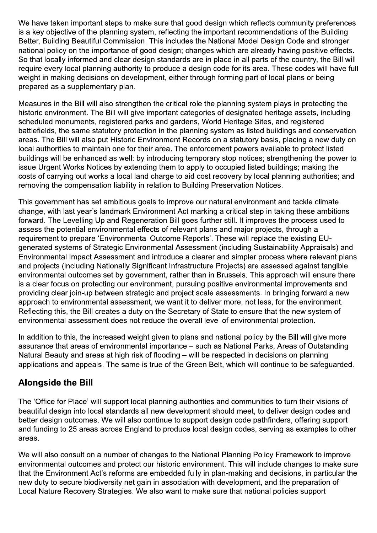We have taken important steps to make sure that good design which reflects community preferences is a key objective of the planning system, reflecting the important recommendations of the Building Better, Building Beautiful Commission. This includes the National Model Design Code and stronger national policy on the importance of good design; changes which are already having positive effects. So that locally informed and clear design standards are in place in all parts of the country, the Bill will require every local planning authority to produce a design code for its area. These codes will have full weight in making decisions on development, either through forming part of local plans or being prepared as a supplementary plan.

Measures in the Bill will also strengthen the critical role the planning system plays in protecting the historic environment. The Bill will give important categories of designated heritage assets, including scheduled monuments, registered parks and gardens, World Heritage Sites, and registered battlefields, the same statutory protection in the planning system as listed buildings and conservation areas. The Bill will also put Historic Environment Records on a statutory basis, placing a new duty on local authorities to maintain one for their area. The enforcement powers available to protect listed buildings will be enhanced as well: by introducing temporary stop notices; strengthening the power to issue Urgent Works Notices by extending them to apply to occupied listed buildings; making the costs of carrying out works a local land charge to aid cost recovery by local planning authorities; and removing the compensation liability in relation to Building Preservation Notices.

This government has set ambitious goals to improve our natural environment and tackle climate change, with last year's landmark Environment Act marking a critical step in taking these ambitions forward. The Levelling Up and Regeneration Bill goes further still. It improves the process used to assess the potential environmental effects of relevant plans and major projects, through a requirement to prepare 'Environmental Outcome Reports'. These will replace the existing EUgenerated systems of Strategic Environmental Assessment (including Sustainability Appraisals) and Environmental Impact Assessment and introduce a clearer and simpler process where relevant plans and projects (including Nationally Significant Infrastructure Projects) are assessed against tangible environmental outcomes set by government, rather than in Brussels. This approach will ensure there is a clear focus on protecting our environment, pursuing positive environmental improvements and providing clear join-up between strategic and project scale assessments. In bringing forward a new approach to environmental assessment, we want it to deliver more, not less, for the environment. Reflecting this, the Bill creates a duty on the Secretary of State to ensure that the new system of environmental assessment does not reduce the overall level of environmental protection.

In addition to this, the increased weight given to plans and national policy by the Bill will give more assurance that areas of environmental importance – such as National Parks. Areas of Outstanding Natural Beauty and areas at high risk of flooding - will be respected in decisions on planning applications and appeals. The same is true of the Green Belt, which will continue to be safequarded.

## **Alongside the Bill**

The 'Office for Place' will support local planning authorities and communities to turn their visions of beautiful design into local standards all new development should meet, to deliver design codes and better design outcomes. We will also continue to support design code pathfinders, offering support and funding to 25 areas across England to produce local design codes, serving as examples to other areas.

We will also consult on a number of changes to the National Planning Policy Framework to improve environmental outcomes and protect our historic environment. This will include changes to make sure that the Environment Act's reforms are embedded fully in plan-making and decisions, in particular the new duty to secure biodiversity net gain in association with development, and the preparation of Local Nature Recovery Strategies. We also want to make sure that national policies support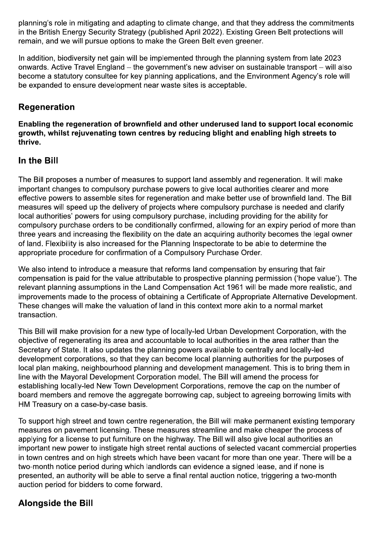planning's role in mitigating and adapting to climate change, and that they address the commitments in the British Energy Security Strategy (published April 2022). Existing Green Belt protections will remain, and we will pursue options to make the Green Belt even greener.

In addition, biodiversity net gain will be implemented through the planning system from late 2023 onwards. Active Travel England – the government's new adviser on sustainable transport – will also become a statutory consultee for key planning applications, and the Environment Agency's role will be expanded to ensure development near waste sites is acceptable.

## **Regeneration**

Enabling the regeneration of brownfield and other underused land to support local economic growth, whilst rejuvenating town centres by reducing blight and enabling high streets to thrive.

#### In the Bill

The Bill proposes a number of measures to support land assembly and regeneration. It will make important changes to compulsory purchase powers to give local authorities clearer and more effective powers to assemble sites for regeneration and make better use of brownfield land. The Bill measures will speed up the delivery of projects where compulsory purchase is needed and clarify local authorities' powers for using compulsory purchase, including providing for the ability for compulsory purchase orders to be conditionally confirmed, allowing for an expiry period of more than three years and increasing the flexibility on the date an acquiring authority becomes the legal owner of land. Flexibility is also increased for the Planning Inspectorate to be able to determine the appropriate procedure for confirmation of a Compulsory Purchase Order.

We also intend to introduce a measure that reforms land compensation by ensuring that fair compensation is paid for the value attributable to prospective planning permission ('hope value'). The relevant planning assumptions in the Land Compensation Act 1961 will be made more realistic, and improvements made to the process of obtaining a Certificate of Appropriate Alternative Development. These changes will make the valuation of land in this context more akin to a normal market transaction.

This Bill will make provision for a new type of locally-led Urban Development Corporation, with the objective of regenerating its area and accountable to local authorities in the area rather than the Secretary of State. It also updates the planning powers available to centrally and locally-led development corporations, so that they can become local planning authorities for the purposes of local plan making, neighbourhood planning and development management. This is to bring them in line with the Mayoral Development Corporation model. The Bill will amend the process for establishing locally-led New Town Development Corporations, remove the cap on the number of board members and remove the aggregate borrowing cap, subject to agreeing borrowing limits with HM Treasury on a case-by-case basis.

To support high street and town centre regeneration, the Bill will make permanent existing temporary measures on pavement licensing. These measures streamline and make cheaper the process of applying for a license to put furniture on the highway. The Bill will also give local authorities an important new power to instigate high street rental auctions of selected vacant commercial properties in town centres and on high streets which have been vacant for more than one vear. There will be a two-month notice period during which landlords can evidence a signed lease, and if none is presented, an authority will be able to serve a final rental auction notice, triggering a two-month auction period for bidders to come forward.

#### **Alongside the Bill**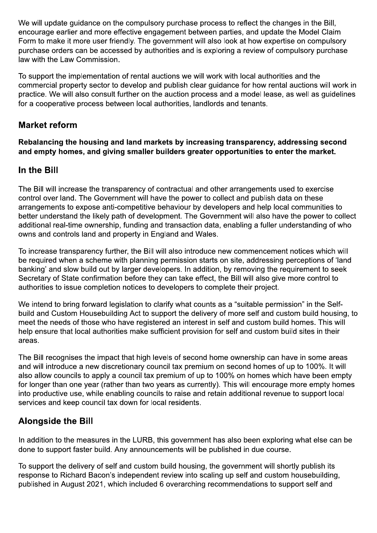We will update guidance on the compulsory purchase process to reflect the changes in the Bill, encourage earlier and more effective engagement between parties, and update the Model Claim Form to make it more user friendly. The government will also look at how expertise on compulsory purchase orders can be accessed by authorities and is exploring a review of compulsory purchase law with the Law Commission.

To support the implementation of rental auctions we will work with local authorities and the commercial property sector to develop and publish clear guidance for how rental auctions will work in practice. We will also consult further on the auction process and a model lease, as well as guidelines for a cooperative process between local authorities, landlords and tenants.

## **Market reform**

Rebalancing the housing and land markets by increasing transparency, addressing second and empty homes, and giving smaller builders greater opportunities to enter the market.

#### In the Bill

The Bill will increase the transparency of contractual and other arrangements used to exercise control over land. The Government will have the power to collect and publish data on these arrangements to expose anti-competitive behaviour by developers and help local communities to better understand the likely path of development. The Government will also have the power to collect additional real-time ownership, funding and transaction data, enabling a fuller understanding of who owns and controls land and property in England and Wales.

To increase transparency further, the Bill will also introduce new commencement notices which will be required when a scheme with planning permission starts on site, addressing perceptions of 'land banking' and slow build out by larger developers. In addition, by removing the requirement to seek Secretary of State confirmation before they can take effect, the Bill will also give more control to authorities to issue completion notices to developers to complete their project.

We intend to bring forward legislation to clarify what counts as a "suitable permission" in the Selfbuild and Custom Housebuilding Act to support the delivery of more self and custom build housing, to meet the needs of those who have registered an interest in self and custom build homes. This will help ensure that local authorities make sufficient provision for self and custom build sites in their areas.

The Bill recognises the impact that high levels of second home ownership can have in some areas and will introduce a new discretionary council tax premium on second homes of up to 100%. It will also allow councils to apply a council tax premium of up to 100% on homes which have been empty for longer than one year (rather than two years as currently). This will encourage more empty homes into productive use, while enabling councils to raise and retain additional revenue to support local services and keep council tax down for local residents.

## **Alongside the Bill**

In addition to the measures in the LURB, this government has also been exploring what else can be done to support faster build. Any announcements will be published in due course.

To support the delivery of self and custom build housing, the government will shortly publish its response to Richard Bacon's independent review into scaling up self and custom housebuilding. published in August 2021, which included 6 overarching recommendations to support self and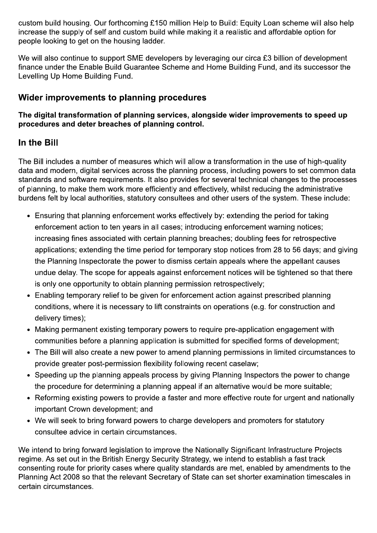custom build housing. Our forthcoming £150 million Help to Build: Equity Loan scheme will also help increase the supply of self and custom build while making it a realistic and affordable option for people looking to get on the housing ladder.

We will also continue to support SME developers by leveraging our circa £3 billion of development finance under the Enable Build Guarantee Scheme and Home Building Fund, and its successor the Levelling Up Home Building Fund.

## Wider improvements to planning procedures

#### The digital transformation of planning services, alongside wider improvements to speed up procedures and deter breaches of planning control.

## In the Bill

The Bill includes a number of measures which will allow a transformation in the use of high-quality data and modern, digital services across the planning process, including powers to set common data standards and software requirements. It also provides for several technical changes to the processes of planning, to make them work more efficiently and effectively, whilst reducing the administrative burdens felt by local authorities, statutory consultees and other users of the system. These include:

- Ensuring that planning enforcement works effectively by: extending the period for taking enforcement action to ten years in all cases; introducing enforcement warning notices; increasing fines associated with certain planning breaches; doubling fees for retrospective applications; extending the time period for temporary stop notices from 28 to 56 days; and giving the Planning Inspectorate the power to dismiss certain appeals where the appellant causes undue delay. The scope for appeals against enforcement notices will be tightened so that there is only one opportunity to obtain planning permission retrospectively;
- Enabling temporary relief to be given for enforcement action against prescribed planning conditions, where it is necessary to lift constraints on operations (e.g. for construction and delivery times);
- Making permanent existing temporary powers to require pre-application engagement with communities before a planning application is submitted for specified forms of development;
- The Bill will also create a new power to amend planning permissions in limited circumstances to provide greater post-permission flexibility following recent caselaw;
- Speeding up the planning appeals process by giving Planning Inspectors the power to change the procedure for determining a planning appeal if an alternative would be more suitable;
- Reforming existing powers to provide a faster and more effective route for urgent and nationally important Crown development; and
- We will seek to bring forward powers to charge developers and promoters for statutory consultee advice in certain circumstances.

We intend to bring forward legislation to improve the Nationally Significant Infrastructure Projects regime. As set out in the British Energy Security Strategy, we intend to establish a fast track consenting route for priority cases where quality standards are met, enabled by amendments to the Planning Act 2008 so that the relevant Secretary of State can set shorter examination timescales in certain circumstances.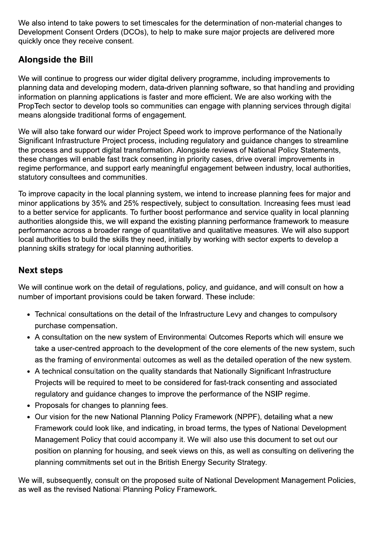We also intend to take powers to set timescales for the determination of non-material changes to Development Consent Orders (DCOs), to help to make sure major projects are delivered more quickly once they receive consent.

## **Alongside the Bill**

We will continue to progress our wider digital delivery programme, including improvements to planning data and developing modern, data-driven planning software, so that handling and providing information on planning applications is faster and more efficient. We are also working with the PropTech sector to develop tools so communities can engage with planning services through digital means alongside traditional forms of engagement.

We will also take forward our wider Project Speed work to improve performance of the Nationally Significant Infrastructure Project process, including regulatory and guidance changes to streamline the process and support digital transformation. Alongside reviews of National Policy Statements. these changes will enable fast track consenting in priority cases, drive overall improvements in regime performance, and support early meaningful engagement between industry, local authorities, statutory consultees and communities.

To improve capacity in the local planning system, we intend to increase planning fees for major and minor applications by 35% and 25% respectively, subject to consultation. Increasing fees must lead to a better service for applicants. To further boost performance and service quality in local planning authorities alongside this, we will expand the existing planning performance framework to measure performance across a broader range of quantitative and qualitative measures. We will also support local authorities to build the skills they need, initially by working with sector experts to develop a planning skills strategy for local planning authorities.

## **Next steps**

We will continue work on the detail of regulations, policy, and guidance, and will consult on how a number of important provisions could be taken forward. These include:

- Technical consultations on the detail of the Infrastructure Levy and changes to compulsory purchase compensation.
- A consultation on the new system of Environmental Outcomes Reports which will ensure we take a user-centred approach to the development of the core elements of the new system, such as the framing of environmental outcomes as well as the detailed operation of the new system.
- A technical consultation on the quality standards that Nationally Significant Infrastructure Projects will be required to meet to be considered for fast-track consenting and associated regulatory and guidance changes to improve the performance of the NSIP regime.
- Proposals for changes to planning fees.
- Our vision for the new National Planning Policy Framework (NPPF), detailing what a new Framework could look like, and indicating, in broad terms, the types of National Development Management Policy that could accompany it. We will also use this document to set out our position on planning for housing, and seek views on this, as well as consulting on delivering the planning commitments set out in the British Energy Security Strategy.

We will, subsequently, consult on the proposed suite of National Development Management Policies, as well as the revised National Planning Policy Framework.